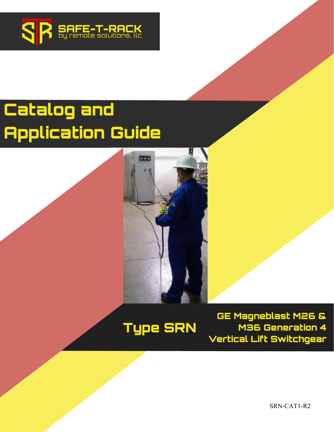

# **Catalog and Application Guide**



## **Type SRN**

**GE Magneblast M26 & M36 Generation 4 Vertical Lift Switchgear**

SRN-CAT1-R2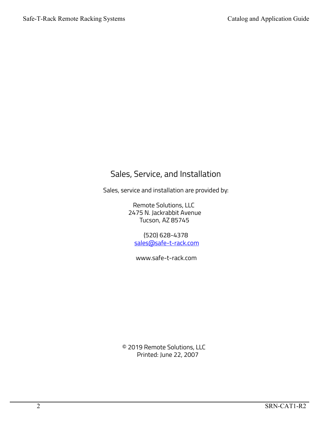#### Sales, Service, and Installation

Sales, service and installation are provided by:

Remote Solutions, LLC 2475 N. Jackrabbit Avenue Tucson, AZ 85745

(520) 628-4378 [sales@safe-t-rack.com](http://safe-t-rack.com/)

www.safe-t-rack.com

© 2019 Remote Solutions, LLC Printed: June 22, 2007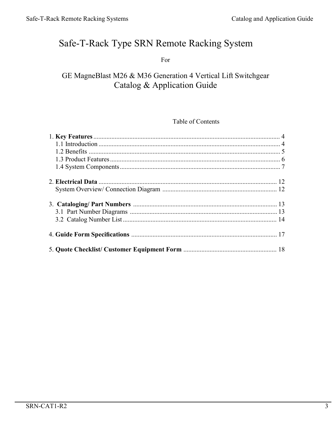#### Safe-T-Rack Type SRN Remote Racking System

For

#### GE MagneBlast M26 & M36 Generation 4 Vertical Lift Switchgear Catalog & Application Guide

#### Table of Contents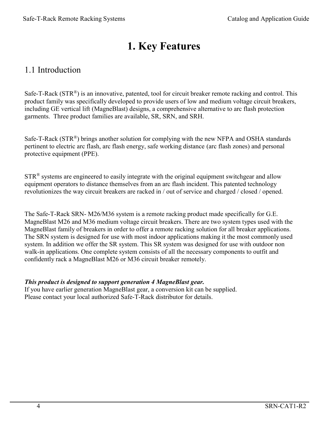## **1. Key Features**

#### 1.1 Introduction

Safe-T-Rack ( $STR^{\circledast}$ ) is an innovative, patented, tool for circuit breaker remote racking and control. This product family was specifically developed to provide users of low and medium voltage circuit breakers, including GE vertical lift (MagneBlast) designs, a comprehensive alternative to arc flash protection garments. Three product families are available, SR, SRN, and SRH.

Safe-T-Rack  $(STR^{\omega})$  brings another solution for complying with the new NFPA and OSHA standards pertinent to electric arc flash, arc flash energy, safe working distance (arc flash zones) and personal protective equipment (PPE).

 $STR<sup>®</sup>$  systems are engineered to easily integrate with the original equipment switchgear and allow equipment operators to distance themselves from an arc flash incident. This patented technology revolutionizes the way circuit breakers are racked in / out of service and charged / closed / opened.

The Safe-T-Rack SRN- M26/M36 system is a remote racking product made specifically for G.E. MagneBlast M26 and M36 medium voltage circuit breakers. There are two system types used with the MagneBlast family of breakers in order to offer a remote racking solution for all breaker applications. The SRN system is designed for use with most indoor applications making it the most commonly used system. In addition we offer the SR system. This SR system was designed for use with outdoor non walk-in applications. One complete system consists of all the necessary components to outfit and confidently rack a MagneBlast M26 or M36 circuit breaker remotely.

#### *This product is designed to support generation 4 MagneBlast gear.*

If you have earlier generation MagneBlast gear, a conversion kit can be supplied. Please contact your local authorized Safe-T-Rack distributor for details.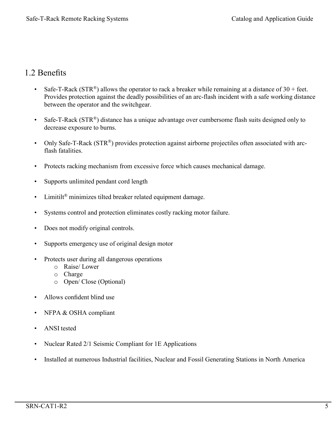#### 1.2 Benefits

- Safe-T-Rack (STR<sup>®</sup>) allows the operator to rack a breaker while remaining at a distance of  $30 +$  feet. Provides protection against the deadly possibilities of an arc-flash incident with a safe working distance between the operator and the switchgear.
- Safe-T-Rack  $(STR^{\circledast})$  distance has a unique advantage over cumbersome flash suits designed only to decrease exposure to burns.
- Only Safe-T-Rack (STR®) provides protection against airborne projectiles often associated with arcflash fatalities.
- Protects racking mechanism from excessive force which causes mechanical damage.
- Supports unlimited pendant cord length
- Limitil $t^{\circledast}$  minimizes tilted breaker related equipment damage.
- Systems control and protection eliminates costly racking motor failure.
- Does not modify original controls.
- Supports emergency use of original design motor
- Protects user during all dangerous operations
	- o Raise/ Lower
	- o Charge
	- o Open/ Close (Optional)
- Allows confident blind use
- NFPA & OSHA compliant
- ANSI tested
- Nuclear Rated 2/1 Seismic Compliant for 1E Applications
- Installed at numerous Industrial facilities, Nuclear and Fossil Generating Stations in North America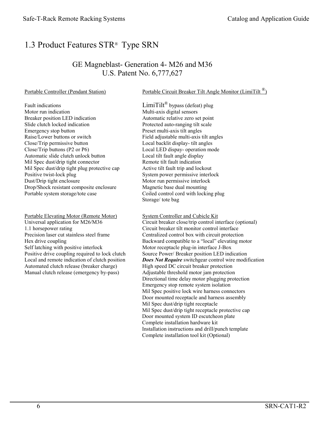#### 1.3 Product Features STR® Type SRN

#### GE Magneblast- Generation 4- M26 and M36 U.S. Patent No. 6,777,627

#### Portable Controller (Pendant Station) Portable Circuit Breaker Tilt Angle Monitor (LimiTilt <sup>®</sup>)

Fault indications  $Limit^{\circledR}$  bypass (defeat) plug Motor run indication Multi-axis digital sensors Breaker position LED indication Automatic relative zero set point Slide clutch locked indication Protected auto-ranging tilt scale Emergency stop button Preset multi-axis tilt angles Raise/Lower buttons or switch Field adjustable multi-axis tilt angles Close/Trip permissive button Local backlit display- tilt angles Close/Trip buttons (P2 or P6) Local LED dispay- operation mode Automatic slide clutch unlock button Mil Spec dust/drip tight connector Remote tilt fault indication Mil Spec dust/drip tight plug protective cap Active tilt fault trip and lockout Positive twist-lock plug System power permissive interlock Dust/Drip tight enclosure Motor run permissive interlock Drop/Shock resistant composite enclosure Magnetic base dual mounting<br>Portable system storage/tote case Coiled control cord with locki

Portable Elevating Motor (Remote Motor) System Controller and Cubicle Kit 1.1 horsepower rating<br>
Precision laser cut stainless steel frame<br>
Centralized control box with circuit protectic Self latching with positive interlock Motor receptacle plug-in interface J-Box Automated clutch release (breaker charge) High speed DC circuit breaker protection Manual clutch release (emergency by-pass) Adjustable threshold motor jam protection

Coiled control cord with locking plug Storage/ tote bag

Universal application for M26/M36 Circuit breaker close/trip control interface (optional)<br>1.1 horsepower rating Circuit breaker tilt monitor control interface Centralized control box with circuit protection Hex drive coupling Theorem Backward compatible to a "local" elevating motor Positive drive coupling required to lock clutch Source Power/ Breaker position LED indication Local and remote indication of clutch position *Does Not Require* switchgear control wire modification Directional time delay motor plugging protection Emergency stop remote system isolation Mil Spec positive lock wire harness connectors Door mounted receptacle and harness assembly Mil Spec dust/drip tight receptacle Mil Spec dust/drip tight receptacle protective cap Door mounted system ID escutcheon plate Complete installation hardware kit Installation instructions and drill/punch template Complete installation tool kit (Optional)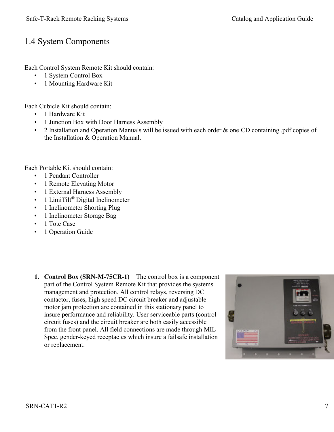#### 1.4 System Components

Each Control System Remote Kit should contain:

- 1 System Control Box
- 1 Mounting Hardware Kit

Each Cubicle Kit should contain:

- 1 Hardware Kit
- 1 Junction Box with Door Harness Assembly
- 2 Installation and Operation Manuals will be issued with each order & one CD containing .pdf copies of the Installation & Operation Manual.

Each Portable Kit should contain:

- 1 Pendant Controller
- 1 Remote Elevating Motor
- 1 External Harness Assembly
- 1 LimiTilt<sup>®</sup> Digital Inclinometer
- 1 Inclinometer Shorting Plug
- 1 Inclinometer Storage Bag
- 1 Tote Case
- 1 Operation Guide
- **1. Control Box (SRN-M-75CR-1)** The control box is a component part of the Control System Remote Kit that provides the systems management and protection. All control relays, reversing DC contactor, fuses, high speed DC circuit breaker and adjustable motor jam protection are contained in this stationary panel to insure performance and reliability. User serviceable parts (control circuit fuses) and the circuit breaker are both easily accessible from the front panel. All field connections are made through MIL Spec. gender-keyed receptacles which insure a failsafe installation or replacement.

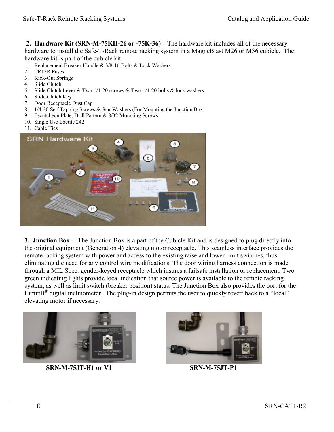**2. Hardware Kit (SRN-M-75KH-26 or -75K-36)** – The hardware kit includes all of the necessary hardware to install the Safe-T-Rack remote racking system in a MagneBlast M26 or M36 cubicle. The hardware kit is part of the cubicle kit.

- 1. Replacement Breaker Handle & 3/8-16 Bolts & Lock Washers
- 2. TR15R Fuses
- 3. Kick-Out Springs
- 4. Slide Clutch
- 5. Slide Clutch Lever & Two 1/4-20 screws & Two 1/4-20 bolts & lock washers
- 6. Slide Clutch Key
- 7. Door Receptacle Dust Cap
- 8. 1/4-20 Self Tapping Screws & Star Washers (For Mounting the Junction Box)
- 9. Escutcheon Plate, Drill Pattern & 8/32 Mounting Screws
- 10. Single Use Loctite 242
- 11. Cable Ties



**3. Junction Box** – The Junction Box is a part of the Cubicle Kit and is designed to plug directly into the original equipment (Generation 4) elevating motor receptacle. This seamless interface provides the remote racking system with power and access to the existing raise and lower limit switches, thus eliminating the need for any control wire modifications. The door wiring harness connection is made through a MIL Spec. gender-keyed receptacle which insures a failsafe installation or replacement. Two green indicating lights provide local indication that source power is available to the remote racking system, as well as limit switch (breaker position) status. The Junction Box also provides the port for the Limitilt<sup>®</sup> digital inclinometer. The plug-in design permits the user to quickly revert back to a "local" elevating motor if necessary.



**SRN-M-75JT-H1 or V1 SRN-M-75JT-P1**

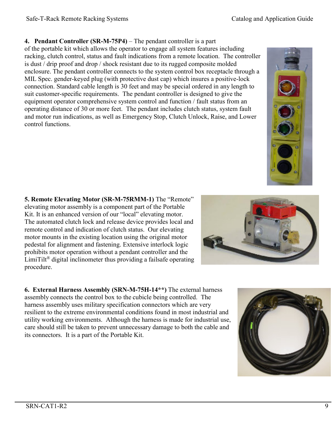**4. Pendant Controller (SR-M-75P4)** – The pendant controller is a part

of the portable kit which allows the operator to engage all system features including racking, clutch control, status and fault indications from a remote location. The controller is dust / drip proof and drop / shock resistant due to its rugged composite molded enclosure. The pendant controller connects to the system control box receptacle through a MIL Spec. gender-keyed plug (with protective dust cap) which insures a positive-lock connection. Standard cable length is 30 feet and may be special ordered in any length to suit customer-specific requirements. The pendant controller is designed to give the equipment operator comprehensive system control and function / fault status from an operating distance of 30 or more feet. The pendant includes clutch status, system fault and motor run indications, as well as Emergency Stop, Clutch Unlock, Raise, and Lower control functions.



**5. Remote Elevating Motor (SR-M-75RMM-1)** The "Remote" elevating motor assembly is a component part of the Portable Kit. It is an enhanced version of our "local" elevating motor. The automated clutch lock and release device provides local and remote control and indication of clutch status. Our elevating motor mounts in the existing location using the original motor pedestal for alignment and fastening. Extensive interlock logic prohibits motor operation without a pendant controller and the LimiTilt<sup>®</sup> digital inclinometer thus providing a failsafe operating procedure.



**6. External Harness Assembly (SRN-M-75H-14\*\*)** The external harness assembly connects the control box to the cubicle being controlled. The harness assembly uses military specification connectors which are very resilient to the extreme environmental conditions found in most industrial and utility working environments. Although the harness is made for industrial use, care should still be taken to prevent unnecessary damage to both the cable and its connectors. It is a part of the Portable Kit.

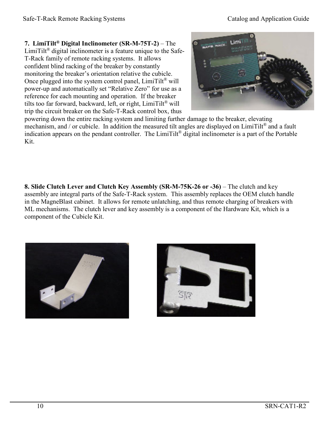#### **7. LimiTilt ® Digital Inclinometer (SR-M-75T-2)** – The

LimiTilt<sup>®</sup> digital inclinometer is a feature unique to the Safe-T-Rack family of remote racking systems. It allows confident blind racking of the breaker by constantly monitoring the breaker's orientation relative the cubicle. Once plugged into the system control panel,  $Limit^{\circledR}$  will power-up and automatically set "Relative Zero" for use as a reference for each mounting and operation. If the breaker tilts too far forward, backward, left, or right, LimiTilt® will trip the circuit breaker on the Safe-T-Rack control box, thus



powering down the entire racking system and limiting further damage to the breaker, elevating mechanism, and / or cubicle. In addition the measured tilt angles are displayed on LimiTilt® and a fault indication appears on the pendant controller. The LimiTilt® digital inclinometer is a part of the Portable Kit.

**8. Slide Clutch Lever and Clutch Key Assembly (SR-M-75K-26 or -36)** – The clutch and key assembly are integral parts of the Safe-T-Rack system. This assembly replaces the OEM clutch handle in the MagneBlast cabinet. It allows for remote unlatching, and thus remote charging of breakers with ML mechanisms. The clutch lever and key assembly is a component of the Hardware Kit, which is a component of the Cubicle Kit.



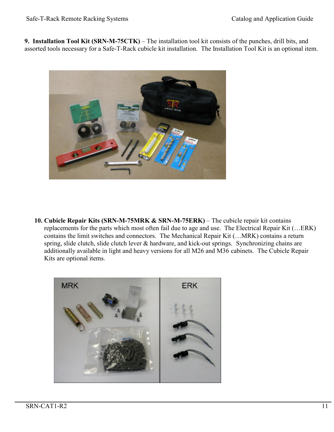**9. Installation Tool Kit (SRN-M-75CTK)** – The installation tool kit consists of the punches, drill bits, and assorted tools necessary for a Safe-T-Rack cubicle kit installation. The Installation Tool Kit is an optional item.



**10. Cubicle Repair Kits (SRN-M-75MRK & SRN-M-75ERK)** – The cubicle repair kit contains replacements for the parts which most often fail due to age and use. The Electrical Repair Kit (…ERK) contains the limit switches and connectors. The Mechanical Repair Kit (…MRK) contains a return spring, slide clutch, slide clutch lever & hardware, and kick-out springs. Synchronizing chains are additionally available in light and heavy versions for all M26 and M36 cabinets. The Cubicle Repair Kits are optional items.

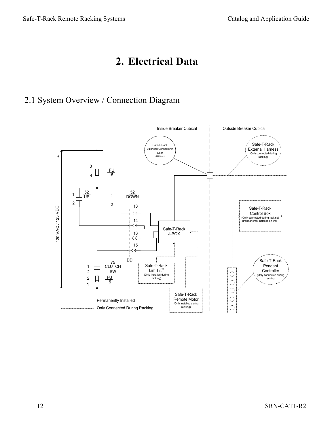#### **2. Electrical Data**

#### 2.1 System Overview / Connection Diagram

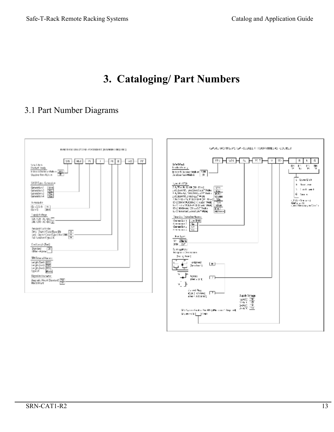### **3. Cataloging/ Part Numbers**

#### 3.1 Part Number Diagrams

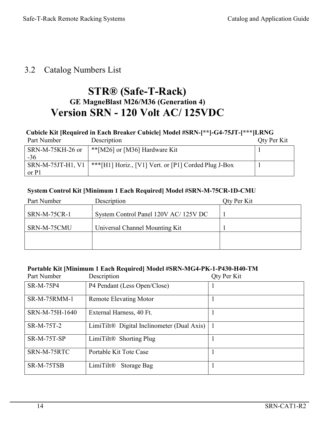#### 3.2 Catalog Numbers List

#### **STR® (Safe-T-Rack) GE MagneBlast M26/M36 (Generation 4) Version SRN - 120 Volt AC/ 125VDC**

#### **Cubicle Kit [Required in Each Breaker Cubicle] Model #SRN-[\*\*]-G4-75JT-[\*\*\*]LRNG**

| Part Number         | Description                                          | Qty Per Kit |
|---------------------|------------------------------------------------------|-------------|
| SRN-M-75KH-26 or    | **[M26] or [M36] Hardware Kit                        |             |
| $-36$               |                                                      |             |
| $SRN-M-75JT-H1, V1$ | ***[H1] Horiz., [V1] Vert. or [P1] Corded Plug J-Box |             |
| or P1               |                                                      |             |

#### **System Control Kit [Minimum 1 Each Required] Model #SRN-M-75CR-1D-CMU**

| Part Number         | Description                           | Oty Per Kit |
|---------------------|---------------------------------------|-------------|
| <b>SRN-M-75CR-1</b> | System Control Panel 120V AC/ 125V DC |             |
| SRN-M-75CMU         | Universal Channel Mounting Kit        |             |
|                     |                                       |             |
|                     |                                       |             |

#### **Portable Kit [Minimum 1 Each Required] Model #SRN-MG4-PK-1-P430-H40-TM**

| Part Number    | Description                                                      | Qty Per Kit |
|----------------|------------------------------------------------------------------|-------------|
| SR-M-75P4      | P4 Pendant (Less Open/Close)                                     |             |
| SR-M-75RMM-1   | <b>Remote Elevating Motor</b>                                    |             |
| SRN-M-75H-1640 | External Harness, 40 Ft.                                         |             |
| SR-M-75T-2     | LimiTilt <sup>®</sup> Digital Inclinemeter (Dual Axis) $\vert$ 1 |             |
| SR-M-75T-SP    | LimiTilt <sup>®</sup> Shorting Plug                              |             |
| SRN-M-75RTC    | Portable Kit Tote Case                                           |             |
| SR-M-75TSB     | LimiTilt®<br>Storage Bag                                         |             |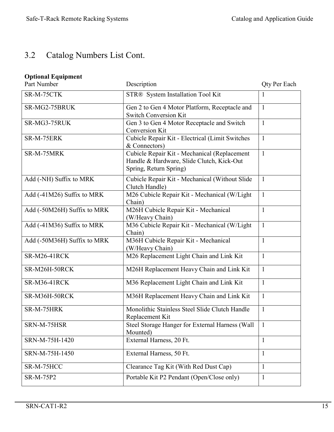#### 3.2 Catalog Numbers List Cont.

#### **Optional Equipment**

| Part Number                 | Description                                                                                                         | <b>Qty Per Each</b> |
|-----------------------------|---------------------------------------------------------------------------------------------------------------------|---------------------|
| SR-M-75CTK                  | STR® System Installation Tool Kit                                                                                   | $\mathbf{1}$        |
| SR-MG2-75BRUK               | Gen 2 to Gen 4 Motor Platform, Receptacle and<br><b>Switch Conversion Kit</b>                                       | $\mathbf{1}$        |
| SR-MG3-75RUK                | Gen 3 to Gen 4 Motor Receptacle and Switch<br>Conversion Kit                                                        | $\mathbf{1}$        |
| SR-M-75ERK                  | Cubicle Repair Kit - Electrical (Limit Switches<br>& Connectors)                                                    | $\mathbf{1}$        |
| SR-M-75MRK                  | Cubicle Repair Kit - Mechanical (Replacement<br>Handle & Hardware, Slide Clutch, Kick-Out<br>Spring, Return Spring) | $\mathbf{1}$        |
| Add (-NH) Suffix to MRK     | Cubicle Repair Kit - Mechanical (Without Slide<br>Clutch Handle)                                                    | $\mathbf{1}$        |
| Add (-41M26) Suffix to MRK  | M26 Cubicle Repair Kit - Mechanical (W/Light<br>Chain)                                                              | $\mathbf{1}$        |
| Add (-50M26H) Suffix to MRK | M26H Cubicle Repair Kit - Mechanical<br>(W/Heavy Chain)                                                             | $\mathbf{1}$        |
| Add (-41M36) Suffix to MRK  | M36 Cubicle Repair Kit - Mechanical (W/Light<br>Chain)                                                              | $\mathbf{1}$        |
| Add (-50M36H) Suffix to MRK | M36H Cubicle Repair Kit - Mechanical<br>(W/Heavy Chain)                                                             | $\mathbf{1}$        |
| <b>SR-M26-41RCK</b>         | M26 Replacement Light Chain and Link Kit                                                                            | $\mathbf{1}$        |
| SR-M26H-50RCK               | M26H Replacement Heavy Chain and Link Kit                                                                           | $\mathbf{1}$        |
| <b>SR-M36-41RCK</b>         | M36 Replacement Light Chain and Link Kit                                                                            | $\mathbf{1}$        |
| SR-M36H-50RCK               | M36H Replacement Heavy Chain and Link Kit                                                                           | $\mathbf{1}$        |
| SR-M-75HRK                  | Monolithic Stainless Steel Slide Clutch Handle<br>Replacement Kit                                                   | $\mathbf{1}$        |
| SRN-M-75HSR                 | Steel Storage Hanger for External Harness (Wall<br>Mounted)                                                         | $\overline{1}$      |
| SRN-M-75H-1420              | External Harness, 20 Ft.                                                                                            | $\mathbf{1}$        |
| SRN-M-75H-1450              | External Harness, 50 Ft.                                                                                            | $\mathbf{1}$        |
| SR-M-75HCC                  | Clearance Tag Kit (With Red Dust Cap)                                                                               | $\mathbf{1}$        |
| SR-M-75P2                   | Portable Kit P2 Pendant (Open/Close only)                                                                           | $\mathbf{1}$        |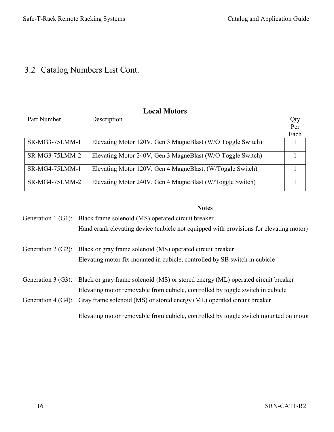#### 3.2 Catalog Numbers List Cont.

| <b>Local Motors</b> |                                                            |      |
|---------------------|------------------------------------------------------------|------|
| Part Number         | Description                                                | Qty  |
|                     |                                                            | Per  |
|                     |                                                            | Each |
| $SR-MG3-75LMM-1$    | Elevating Motor 120V, Gen 3 MagneBlast (W/O Toggle Switch) |      |
| $SR-MG3-75LMM-2$    | Elevating Motor 240V, Gen 3 MagneBlast (W/O Toggle Switch) |      |
| $SR-MG4-75LMM-1$    | Elevating Motor 120V, Gen 4 MagneBlast, (W/Toggle Switch)  |      |
| $SR-MG4-75LMM-2$    | Elevating Motor 240V, Gen 4 MagneBlast (W/Toggle Switch)   |      |

#### **Notes**

|                      | Generation 1 (G1): Black frame solenoid (MS) operated circuit breaker                               |
|----------------------|-----------------------------------------------------------------------------------------------------|
|                      | Hand crank elevating device (cubicle not equipped with provisions for elevating motor)              |
| Generation $2(G2)$ : | Black or gray frame solenoid (MS) operated circuit breaker                                          |
|                      | Elevating motor fix mounted in cubicle, controlled by SB switch in cubicle                          |
|                      | Generation 3 (G3): Black or gray frame solenoid (MS) or stored energy (ML) operated circuit breaker |
|                      | Elevating motor removable from cubicle, controlled by toggle switch in cubicle                      |
| Generation $4(G4)$ : | Gray frame solenoid (MS) or stored energy (ML) operated circuit breaker                             |
|                      | Elevating motor removable from cubicle, controlled by toggle switch mounted on motor                |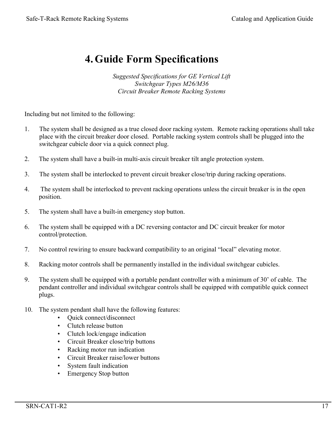#### **4.Guide Form Specifications**

*Suggested Specifications for GE Vertical Lift Switchgear Types M26/M36 Circuit Breaker Remote Racking Systems*

Including but not limited to the following:

- 1. The system shall be designed as a true closed door racking system. Remote racking operations shall take place with the circuit breaker door closed. Portable racking system controls shall be plugged into the switchgear cubicle door via a quick connect plug.
- 2. The system shall have a built-in multi-axis circuit breaker tilt angle protection system.
- 3. The system shall be interlocked to prevent circuit breaker close/trip during racking operations.
- 4. The system shall be interlocked to prevent racking operations unless the circuit breaker is in the open position.
- 5. The system shall have a built-in emergency stop button.
- 6. The system shall be equipped with a DC reversing contactor and DC circuit breaker for motor control/protection.
- 7. No control rewiring to ensure backward compatibility to an original "local" elevating motor.
- 8. Racking motor controls shall be permanently installed in the individual switchgear cubicles.
- 9. The system shall be equipped with a portable pendant controller with a minimum of 30' of cable. The pendant controller and individual switchgear controls shall be equipped with compatible quick connect plugs.
- 10. The system pendant shall have the following features:
	- Quick connect/disconnect
	- Clutch release button
	- Clutch lock/engage indication
	- Circuit Breaker close/trip buttons
	- Racking motor run indication
	- Circuit Breaker raise/lower buttons
	- System fault indication
	- Emergency Stop button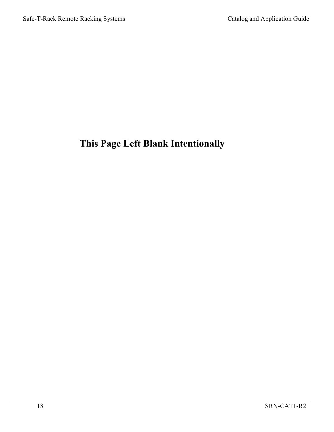#### **This Page Left Blank Intentionally**